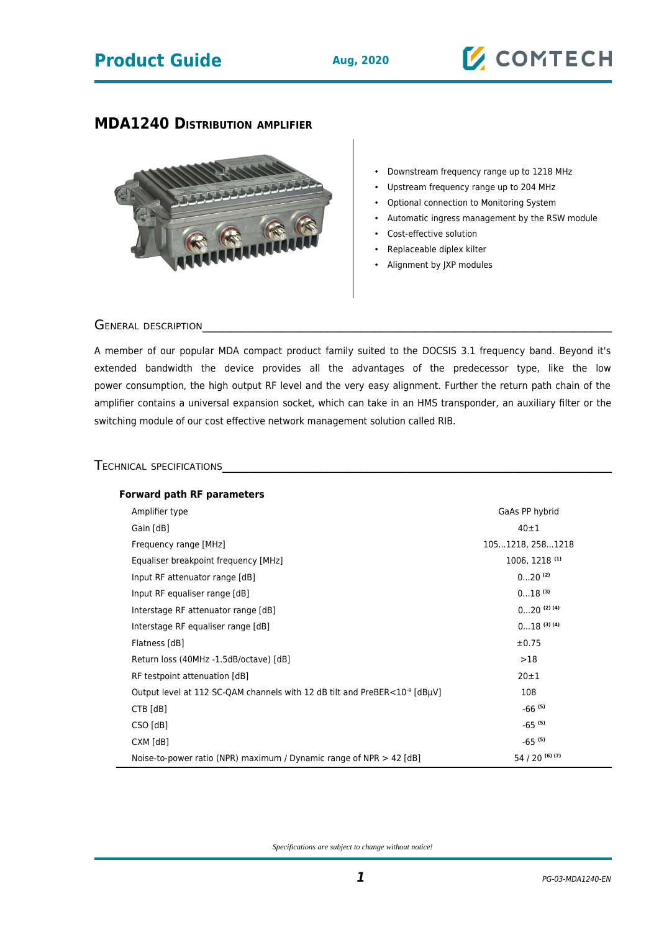## **Product Guide Aug, 2020**

## **MDA1240 DISTRIBUTION AMPLIFIER**



- Downstream frequency range up to 1218 MHz
- Upstream frequency range up to 204 MHz
- Optional connection to Monitoring System
- Automatic ingress management by the RSW module
- Cost-effective solution
- Replaceable diplex kilter
- Alignment by JXP modules

### GENERAL DESCRIPTION

A member of our popular MDA compact product family suited to the DOCSIS 3.1 frequency band. Beyond it's extended bandwidth the device provides all the advantages of the predecessor type, like the low power consumption, the high output RF level and the very easy alignment. Further the return path chain of the amplifier contains a universal expansion socket, which can take in an HMS transponder, an auxiliary filter or the switching module of our cost effective network management solution called RIB.

### TECHNICAL SPECIFICATIONS

| <b>Forward path RF parameters</b>                                                      |                      |
|----------------------------------------------------------------------------------------|----------------------|
| Amplifier type                                                                         | GaAs PP hybrid       |
| Gain [dB]                                                                              | $40\pm1$             |
| Frequency range [MHz]                                                                  | 1051218, 2581218     |
| Equaliser breakpoint frequency [MHz]                                                   | 1006, 1218 (1)       |
| Input RF attenuator range [dB]                                                         | $020^{(2)}$          |
| Input RF equaliser range [dB]                                                          | $018$ (3)            |
| Interstage RF attenuator range [dB]                                                    | $020$ (2) (4)        |
| Interstage RF equaliser range [dB]                                                     | $018$ (3) (4)        |
| Flatness [dB]                                                                          | ±0.75                |
| Return loss (40MHz -1.5dB/octave) [dB]                                                 | >18                  |
| RF testpoint attenuation [dB]                                                          | $20 + 1$             |
| Output level at 112 SC-QAM channels with 12 dB tilt and PreBER<10 <sup>-9</sup> [dBµV] | 108                  |
| $CTB$ $[dB]$                                                                           | $-66$ <sup>(5)</sup> |
| CSO [dB]                                                                               | $-65^{(5)}$          |
| CXM [dB]                                                                               | $-65$ <sup>(5)</sup> |
| Noise-to-power ratio (NPR) maximum / Dynamic range of NPR $>$ 42 [dB]                  | 54 / 20 (6) (7)      |

*Specifications are subject to change without notice!*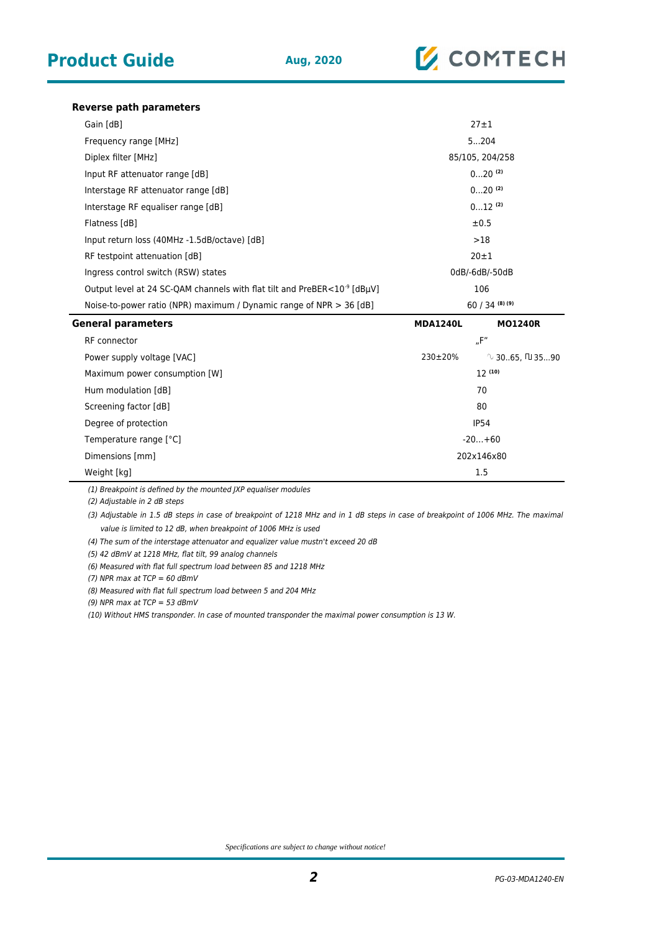### **Reverse path parameters**

| Gain [dB]                                                                                | $27 + 1$        |
|------------------------------------------------------------------------------------------|-----------------|
| Frequency range [MHz]                                                                    | 5204            |
| Diplex filter [MHz]                                                                      | 85/105, 204/258 |
| Input RF attenuator range [dB]                                                           | $020^{(2)}$     |
| Interstage RF attenuator range [dB]                                                      | $020^{(2)}$     |
| Interstage RF equaliser range [dB]                                                       | $012$ (2)       |
| Flatness [dB]                                                                            | ±0.5            |
| Input return loss (40MHz -1.5dB/octave) [dB]                                             | >18             |
| RF testpoint attenuation [dB]                                                            | $20 + 1$        |
| Ingress control switch (RSW) states                                                      | 0dB/-6dB/-50dB  |
| Output level at 24 SC-QAM channels with flat tilt and PreBER $<$ 10 <sup>-9</sup> [dBµV] | 106             |
| Noise-to-power ratio (NPR) maximum / Dynamic range of NPR $>$ 36 [dB]                    | $60/34$ (8) (9) |
|                                                                                          |                 |

| <b>General parameters</b>     | <b>MDA1240L</b> | <b>MO1240R</b>                   |
|-------------------------------|-----------------|----------------------------------|
| RF connector                  |                 | nF''                             |
| Power supply voltage [VAC]    | 230±20%         | $\sqrt{30.65}$ , $\sqrt{135.00}$ |
| Maximum power consumption [W] |                 | 12(10)                           |
| Hum modulation [dB]           |                 | 70                               |
| Screening factor [dB]         |                 | 80                               |
| Degree of protection          |                 | <b>IP54</b>                      |
| Temperature range [°C]        |                 | $-20+60$                         |
| Dimensions [mm]               |                 | 202x146x80                       |
| Weight [kg]                   |                 | 1.5                              |

(1) Breakpoint is defined by the mounted JXP equaliser modules

(2) Adjustable in 2 dB steps

(3) Adjustable in 1.5 dB steps in case of breakpoint of 1218 MHz and in 1 dB steps in case of breakpoint of 1006 MHz. The maximal value is limited to 12 dB, when breakpoint of 1006 MHz is used

(4) The sum of the interstage attenuator and equalizer value mustn't exceed 20 dB

(5) 42 dBmV at 1218 MHz, flat tilt, 99 analog channels

(6) Measured with flat full spectrum load between 85 and 1218 MHz

(7) NPR max at  $TCP = 60$  dBmV

(8) Measured with flat full spectrum load between 5 and 204 MHz

(9) NPR max at  $TCP = 53$  dBmV

(10) Without HMS transponder. In case of mounted transponder the maximal power consumption is 13 W.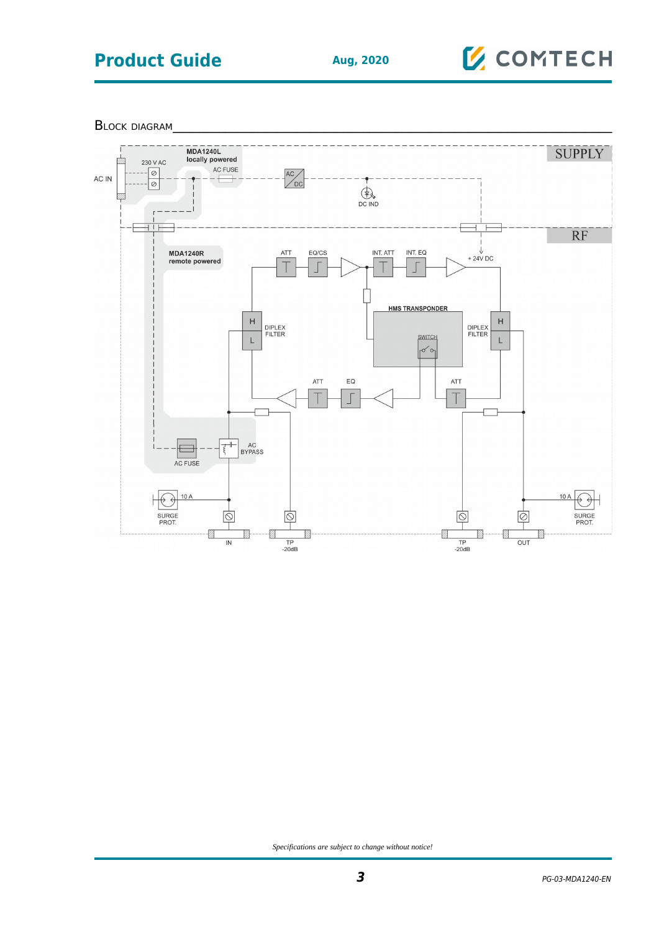# **Product Guide Aug, 2020**



BLOCK DIAGRAM



*Specifications are subject to change without notice!*